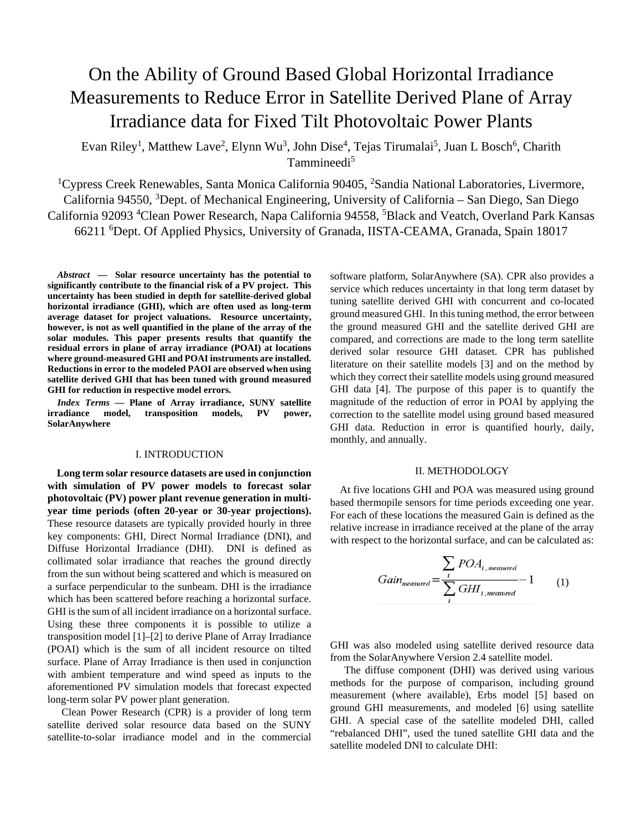# On the Ability of Ground Based Global Horizontal Irradiance Measurements to Reduce Error in Satellite Derived Plane of Array Irradiance data for Fixed Tilt Photovoltaic Power Plants

Evan Riley<sup>1</sup>, Matthew Lave<sup>2</sup>, Elynn Wu<sup>3</sup>, John Dise<sup>4</sup>, Tejas Tirumalai<sup>5</sup>, Juan L Bosch<sup>6</sup>, Charith Tammineedi<sup>5</sup>

<sup>1</sup>Cypress Creek Renewables, Santa Monica California 90405, <sup>2</sup>Sandia National Laboratories, Livermore, California 94550, <sup>3</sup>Dept. of Mechanical Engineering, University of California – San Diego, San Diego California 92093 <sup>4</sup>Clean Power Research, Napa California 94558, <sup>5</sup>Black and Veatch, Overland Park Kansas 66211 <sup>6</sup> Dept. Of Applied Physics, University of Granada, IISTA-CEAMA, Granada, Spain 18017

*Abstract* **— Solar resource uncertainty has the potential to significantly contribute to the financial risk of a PV project. This uncertainty has been studied in depth for satellite-derived global horizontal irradiance (GHI), which are often used as long-term average dataset for project valuations. Resource uncertainty, however, is not as well quantified in the plane of the array of the solar modules. This paper presents results that quantify the residual errors in plane of array irradiance (POAI) at locations where ground-measured GHI and POAI instruments are installed. Reductions in error to the modeled PAOI are observed when using satellite derived GHI that has been tuned with ground measured GHI for reduction in respective model errors.** 

*Index Terms* **— Plane of Array irradiance, SUNY satellite irradiance model, transposition models, PV power, SolarAnywhere** 

### I. INTRODUCTION

**Long term solar resource datasets are used in conjunction with simulation of PV power models to forecast solar photovoltaic (PV) power plant revenue generation in multiyear time periods (often 20-year or 30-year projections).**  These resource datasets are typically provided hourly in three key components: GHI, Direct Normal Irradiance (DNI), and Diffuse Horizontal Irradiance (DHI). DNI is defined as collimated solar irradiance that reaches the ground directly from the sun without being scattered and which is measured on a surface perpendicular to the sunbeam. DHI is the irradiance which has been scattered before reaching a horizontal surface. GHI is the sum of all incident irradiance on a horizontal surface. Using these three components it is possible to utilize a transposition model [1]–[2] to derive Plane of Array Irradiance (POAI) which is the sum of all incident resource on tilted surface. Plane of Array Irradiance is then used in conjunction with ambient temperature and wind speed as inputs to the aforementioned PV simulation models that forecast expected long-term solar PV power plant generation.

Clean Power Research (CPR) is a provider of long term satellite derived solar resource data based on the SUNY satellite-to-solar irradiance model and in the commercial software platform, SolarAnywhere (SA). CPR also provides a service which reduces uncertainty in that long term dataset by tuning satellite derived GHI with concurrent and co-located ground measured GHI. In this tuning method, the error between the ground measured GHI and the satellite derived GHI are compared, and corrections are made to the long term satellite derived solar resource GHI dataset. CPR has published literature on their satellite models [3] and on the method by which they correct their satellite models using ground measured GHI data [4]. The purpose of this paper is to quantify the magnitude of the reduction of error in POAI by applying the correction to the satellite model using ground based measured GHI data. Reduction in error is quantified hourly, daily, monthly, and annually.

#### II. METHODOLOGY

At five locations GHI and POA was measured using ground based thermopile sensors for time periods exceeding one year. For each of these locations the measured Gain is defined as the relative increase in irradiance received at the plane of the array with respect to the horizontal surface, and can be calculated as:

Gain<sub>measured</sub> = 
$$
\frac{\sum_{i} POA_{i, measured}}{\sum_{i} GHI_{i, measured}} - 1
$$
 (1)

GHI was also modeled using satellite derived resource data from the SolarAnywhere Version 2.4 satellite model.

The diffuse component (DHI) was derived using various methods for the purpose of comparison, including ground measurement (where available), Erbs model [5] based on ground GHI measurements, and modeled [6] using satellite GHI. A special case of the satellite modeled DHI, called "rebalanced DHI", used the tuned satellite GHI data and the satellite modeled DNI to calculate DHI: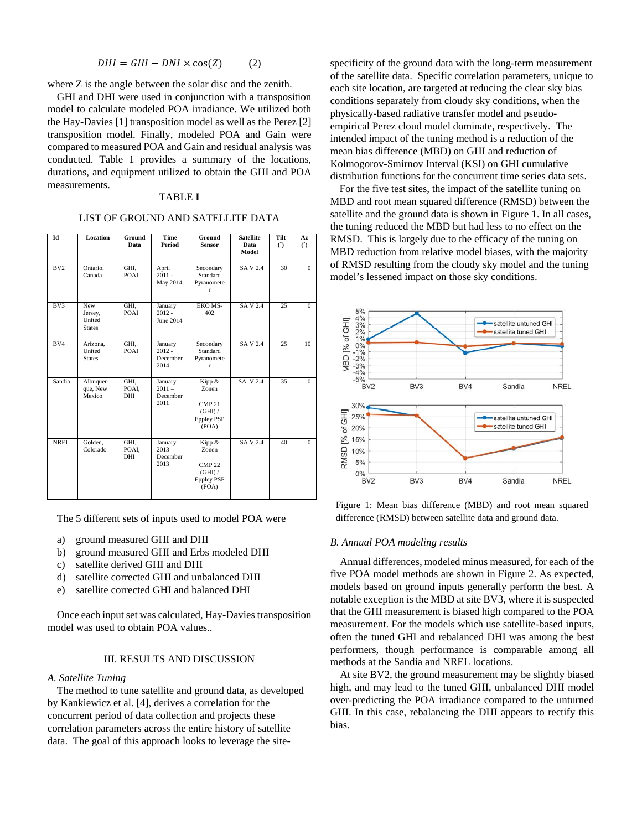$$
DHI = GHI - DNI \times \cos(Z) \tag{2}
$$

where Z is the angle between the solar disc and the zenith.

GHI and DHI were used in conjunction with a transposition model to calculate modeled POA irradiance. We utilized both the Hay-Davies [1] transposition model as well as the Perez [2] transposition model. Finally, modeled POA and Gain were compared to measured POA and Gain and residual analysis was conducted. Table 1 provides a summary of the locations, durations, and equipment utilized to obtain the GHI and POA measurements.

# TABLE **I**

# LIST OF GROUND AND SATELLITE DATA

| Id          | <b>Location</b>                           | Ground<br>Data              | <b>Time</b><br>Period                   | Ground<br><b>Sensor</b>                                                   | <b>Satellite</b><br>Data<br>Model | Tilt<br>$\mathcal{C}$ | Az<br>$\mathcal{C}$ |
|-------------|-------------------------------------------|-----------------------------|-----------------------------------------|---------------------------------------------------------------------------|-----------------------------------|-----------------------|---------------------|
| BV2         | Ontario,<br>Canada                        | GHI,<br>POAI                | April<br>$2011 -$<br>May 2014           | Secondary<br>Standard<br>Pyranomete<br>r                                  | <b>SAV2.4</b>                     | 30                    | $\Omega$            |
| BV3         | New<br>Jersey,<br>United<br><b>States</b> | GHI,<br>POAI                | January<br>$2012 -$<br>June 2014        | EKO MS-<br>402                                                            | <b>SAV2.4</b>                     | 25                    | $\Omega$            |
| BV4         | Arizona,<br>United<br><b>States</b>       | GHI,<br>POAI                | January<br>$2012 -$<br>December<br>2014 | Secondary<br>Standard<br>Pyranomete<br>r                                  | <b>SAV2.4</b>                     | 25                    | 10                  |
| Sandia      | Albuquer-<br>que, New<br>Mexico           | GHI.<br>POAI.<br><b>DHI</b> | January<br>$2011 -$<br>December<br>2011 | Kipp &<br>Zonen<br><b>CMP 21</b><br>(GHI) /<br><b>Eppley PSP</b><br>(POA) | SA V 2.4                          | 35                    | $\Omega$            |
| <b>NREL</b> | Golden,<br>Colorado                       | GHI,<br>POAI,<br>DHI        | January<br>$2013 -$<br>December<br>2013 | Kipp &<br>Zonen<br><b>CMP 22</b><br>(GHI) /<br><b>Eppley PSP</b><br>(POA) | <b>SAV2.4</b>                     | 40                    | $\Omega$            |

The 5 different sets of inputs used to model POA were

- a) ground measured GHI and DHI
- b) ground measured GHI and Erbs modeled DHI
- c) satellite derived GHI and DHI
- d) satellite corrected GHI and unbalanced DHI
- e) satellite corrected GHI and balanced DHI

Once each input set was calculated, Hay-Davies transposition model was used to obtain POA values..

# III. RESULTS AND DISCUSSION

#### *A. Satellite Tuning*

The method to tune satellite and ground data, as developed by Kankiewicz et al. [4], derives a correlation for the concurrent period of data collection and projects these correlation parameters across the entire history of satellite data. The goal of this approach looks to leverage the sitespecificity of the ground data with the long-term measurement of the satellite data. Specific correlation parameters, unique to each site location, are targeted at reducing the clear sky bias conditions separately from cloudy sky conditions, when the physically-based radiative transfer model and pseudoempirical Perez cloud model dominate, respectively. The intended impact of the tuning method is a reduction of the mean bias difference (MBD) on GHI and reduction of Kolmogorov-Smirnov Interval (KSI) on GHI cumulative distribution functions for the concurrent time series data sets.

For the five test sites, the impact of the satellite tuning on MBD and root mean squared difference (RMSD) between the satellite and the ground data is shown in Figure 1. In all cases, the tuning reduced the MBD but had less to no effect on the RMSD. This is largely due to the efficacy of the tuning on MBD reduction from relative model biases, with the majority of RMSD resulting from the cloudy sky model and the tuning model's lessened impact on those sky conditions.



Figure 1: Mean bias difference (MBD) and root mean squared difference (RMSD) between satellite data and ground data.

# *B. Annual POA modeling results*

Annual differences, modeled minus measured, for each of the five POA model methods are shown in Figure 2. As expected, models based on ground inputs generally perform the best. A notable exception is the MBD at site BV3, where it is suspected that the GHI measurement is biased high compared to the POA measurement. For the models which use satellite-based inputs, often the tuned GHI and rebalanced DHI was among the best performers, though performance is comparable among all methods at the Sandia and NREL locations.

At site BV2, the ground measurement may be slightly biased high, and may lead to the tuned GHI, unbalanced DHI model over-predicting the POA irradiance compared to the unturned GHI. In this case, rebalancing the DHI appears to rectify this bias.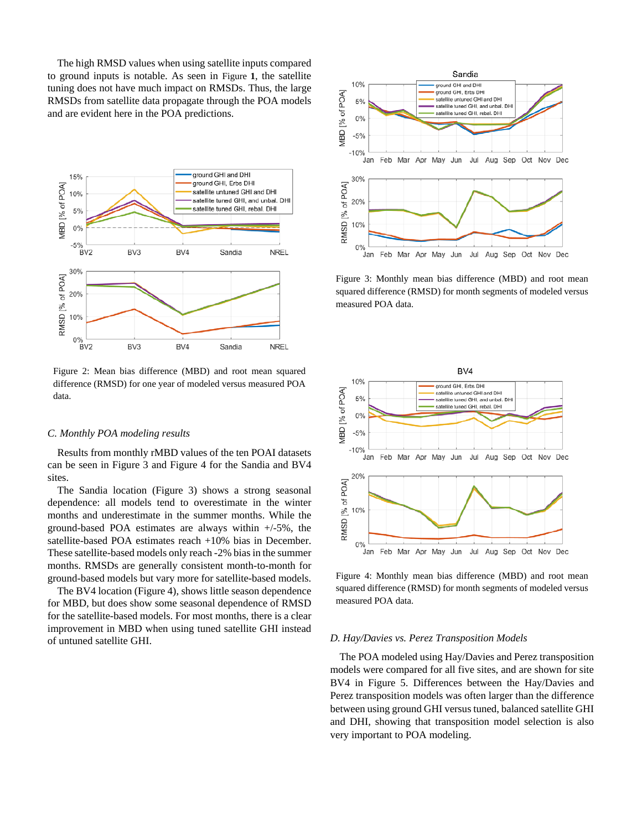The high RMSD values when using satellite inputs compared to ground inputs is notable. As seen in Figure **1**, the satellite tuning does not have much impact on RMSDs. Thus, the large RMSDs from satellite data propagate through the POA models and are evident here in the POA predictions.



Figure 2: Mean bias difference (MBD) and root mean squared difference (RMSD) for one year of modeled versus measured POA data.

## *C. Monthly POA modeling results*

Results from monthly rMBD values of the ten POAI datasets can be seen in Figure 3 and Figure 4 for the Sandia and BV4 sites.

The Sandia location (Figure 3) shows a strong seasonal dependence: all models tend to overestimate in the winter months and underestimate in the summer months. While the ground-based POA estimates are always within +/-5%, the satellite-based POA estimates reach +10% bias in December. These satellite-based models only reach -2% bias in the summer months. RMSDs are generally consistent month-to-month for ground-based models but vary more for satellite-based models.

The BV4 location (Figure 4), shows little season dependence for MBD, but does show some seasonal dependence of RMSD for the satellite-based models. For most months, there is a clear improvement in MBD when using tuned satellite GHI instead of untuned satellite GHI.



Figure 3: Monthly mean bias difference (MBD) and root mean squared difference (RMSD) for month segments of modeled versus measured POA data.



Figure 4: Monthly mean bias difference (MBD) and root mean squared difference (RMSD) for month segments of modeled versus measured POA data.

#### *D. Hay/Davies vs. Perez Transposition Models*

The POA modeled using Hay/Davies and Perez transposition models were compared for all five sites, and are shown for site BV4 in Figure 5. Differences between the Hay/Davies and Perez transposition models was often larger than the difference between using ground GHI versus tuned, balanced satellite GHI and DHI, showing that transposition model selection is also very important to POA modeling.